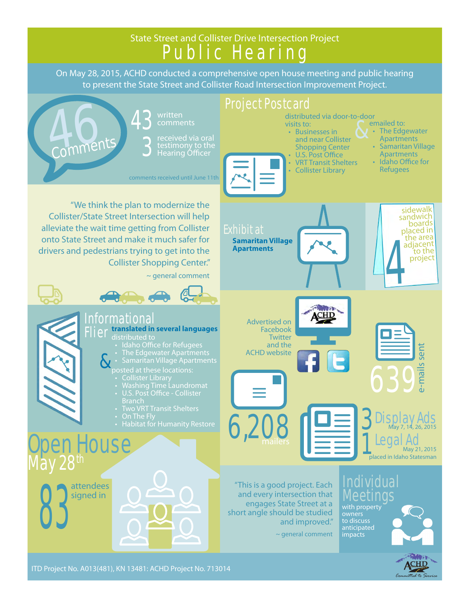#### State Street and Collister Drive Intersection Project Public Hearing On May 28, 2015, ACHD conducted a comprehensive open house meeting and public hearing to present the State Street and Collister Road Intersection Improvement Project. Project Postcard A 3 written<br>
Subsettly but a bound distributed via door-to-door<br>
visits to:<br>
exceived via oral<br>
extimony to the<br>
Shopping Center<br>
Shopping Center<br>
Businesses in<br>
Shopping Center<br>
Shopping Center<br>
Businesses in<br>
Shopping Ce written distributed via door-to-door 43 & visits to: • The Edgewater • Businesses in Apartments and near Collister **Comments** 3 Shopping Center • Samaritan Village Hearing Officer U.S. Post Office Apartments • Idaho Office for • VRT Transit Shelters • Collister Library Refugees comments received until June 11th "We think the plan to modernize the sidewalk Collister/State Street Intersection will help sandwich<br>boards alleviate the wait time getting from Collister Exhibit at <sup>p</sup>laced in the area onto State Street and make it much safer for **Samaritan Village**  adjacent<br>to the 4 **Apartments** drivers and pedestrians trying to get into the project Collister Shopping Center." ~ general comment ACHID Informational Advertised on Flier **translated in several languages** Facebook **Twitter** • Idaho Office for Refugees and the e-mails sent sent • The Edgewater Apartments ACHD website & • Samaritan Village Apartments **Malls** 639 • Washing Time Laundromat • Two VRT Transit Shelters 3 Display Ads  $6,208$ May 7, 14, 26, 2015 **Den House** 1 Legal Ad May 21, 2015 placed in Idaho Statesman May 28<sup>th</sup> and every intersection that<br>and every intersection that<br>and every intersection that<br>and every intersection that<br>and every intersection that<br>and every intersection that<br>and interproperty<br>and improved."<br>the property<br>and impr "This is a good project. Each attendees and every intersection that signed in Meetings engages State Street at a with property short angle should be studied and improved." to discuss anticipated

 $\sim$  general comment

impacts

*Committed to Service*

ITD Project No. A013(481), KN 13481: ACHD Project No. 713014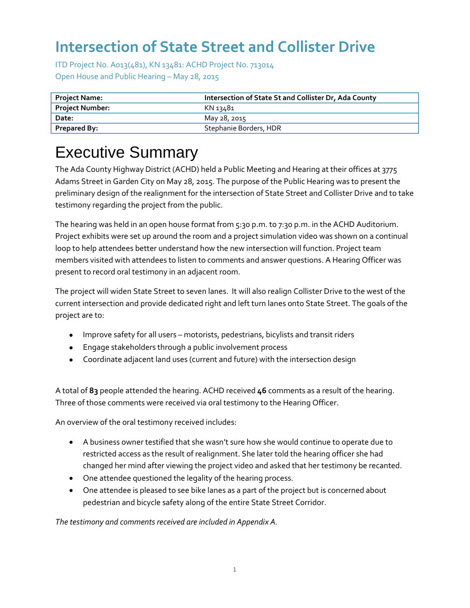ITD Project No. A013(481), KN 13481: ACHD Project No. 713014 Open House and Public Hearing – May 28, 2015

| <b>Project Name:</b>   | Intersection of State St and Collister Dr, Ada County |  |
|------------------------|-------------------------------------------------------|--|
| <b>Project Number:</b> | KN 13481                                              |  |
| Date:                  | May 28, 2015                                          |  |
| <b>Prepared By:</b>    | Stephanie Borders, HDR                                |  |

# Executive Summary

The Ada County Highway District (ACHD) held a Public Meeting and Hearing at their offices at 3775 Adams Street in Garden City on May 28, 2015. The purpose of the Public Hearing was to present the preliminary design of the realignment for the intersection of State Street and Collister Drive and to take testimony regarding the project from the public.

The hearing was held in an open house format from 5:30 p.m. to 7:30 p.m. in the ACHD Auditorium. Project exhibits were set up around the room and a project simulation video was shown on a continual loop to help attendees better understand how the new intersection will function. Project team members visited with attendees to listen to comments and answer questions. A Hearing Officer was present to record oral testimony in an adjacent room.

The project will widen State Street to seven lanes. It will also realign Collister Drive to the west of the current intersection and provide dedicated right and left turn lanes onto State Street. The goals of the project are to:

- Improve safety for all users motorists, pedestrians, bicylists and transit riders
- Engage stakeholders through a public involvement process
- Coordinate adjacent land uses (current and future) with the intersection design

A total of **83** people attended the hearing. ACHD received **46** comments as a result of the hearing. Three of those comments were received via oral testimony to the Hearing Officer.

An overview of the oral testimony received includes:

- A business owner testified that she wasn't sure how she would continue to operate due to restricted access as the result of realignment. She later told the hearing officer she had changed her mind after viewing the project video and asked that her testimony be recanted.
- One attendee questioned the legality of the hearing process.
- One attendee is pleased to see bike lanes as a part of the project but is concerned about pedestrian and bicycle safety along of the entire State Street Corridor.

*The testimony and comments received are included in Appendix A.*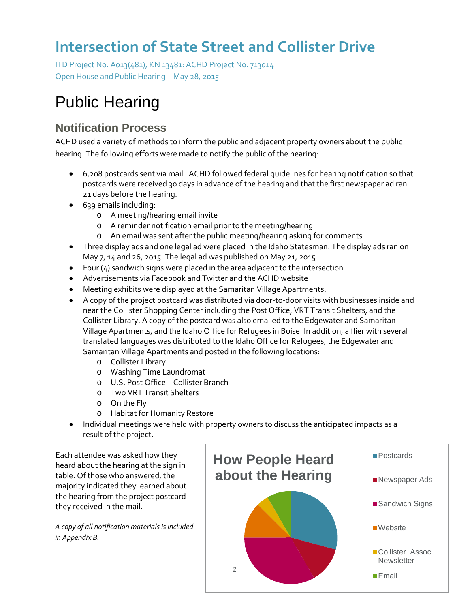ITD Project No. A013(481), KN 13481: ACHD Project No. 713014 Open House and Public Hearing – May 28, 2015

# Public Hearing

### **Notification Process**

ACHD used a variety of methods to inform the public and adjacent property owners about the public hearing. The following efforts were made to notify the public of the hearing:

- 6,208 postcards sent via mail. ACHD followed federal guidelines for hearing notification so that postcards were received 30 days in advance of the hearing and that the first newspaper ad ran 21 days before the hearing.
- 639 emails including:
	- o A meeting/hearing email invite
	- o A reminder notification email prior to the meeting/hearing
	- o An email was sent after the public meeting/hearing asking for comments.
- Three display ads and one legal ad were placed in the Idaho Statesman. The display ads ran on May 7, 14 and 26, 2015. The legal ad was published on May 21, 2015.
- Four  $(4)$  sandwich signs were placed in the area adjacent to the intersection
- Advertisements via Facebook and Twitter and the ACHD website
- Meeting exhibits were displayed at the Samaritan Village Apartments.
- A copy of the project postcard was distributed via door-to-door visits with businesses inside and near the Collister Shopping Center including the Post Office, VRT Transit Shelters, and the Collister Library. A copy of the postcard was also emailed to the Edgewater and Samaritan Village Apartments, and the Idaho Office for Refugees in Boise. In addition, a flier with several translated languages was distributed to the Idaho Office for Refugees, the Edgewater and Samaritan Village Apartments and posted in the following locations:
	- o Collister Library
	- o Washing Time Laundromat
	- o U.S. Post Office Collister Branch
	- o Two VRT Transit Shelters
	- o On the Fly
	- o Habitat for Humanity Restore
- Individual meetings were held with property owners to discuss the anticipated impacts as a result of the project.

Each attendee was asked how they heard about the hearing at the sign in table. Of those who answered, the majority indicated they learned about the hearing from the project postcard they received in the mail.

*A copy of all notification materials is included in Appendix B.*

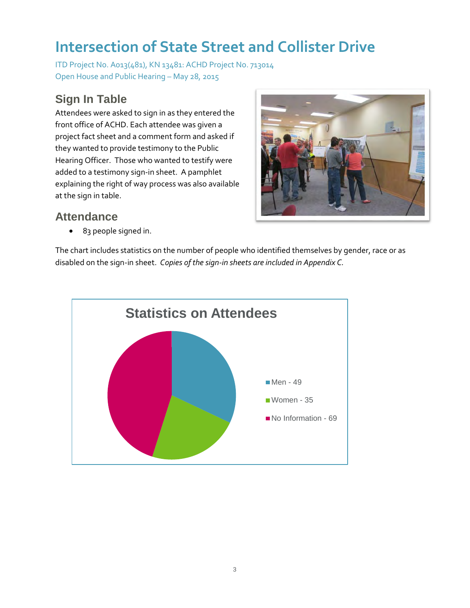ITD Project No. A013(481), KN 13481: ACHD Project No. 713014 Open House and Public Hearing – May 28, 2015

### **Sign In Table**

Attendees were asked to sign in as they entered the front office of ACHD. Each attendee was given a project fact sheet and a comment form and asked if they wanted to provide testimony to the Public Hearing Officer. Those who wanted to testify were added to a testimony sign-in sheet. A pamphlet explaining the right of way process was also available at the sign in table.



#### **Attendance**

• 83 people signed in.

The chart includes statistics on the number of people who identified themselves by gender, race or as disabled on the sign-in sheet. *Copies of the sign-in sheets are included in Appendix C.*

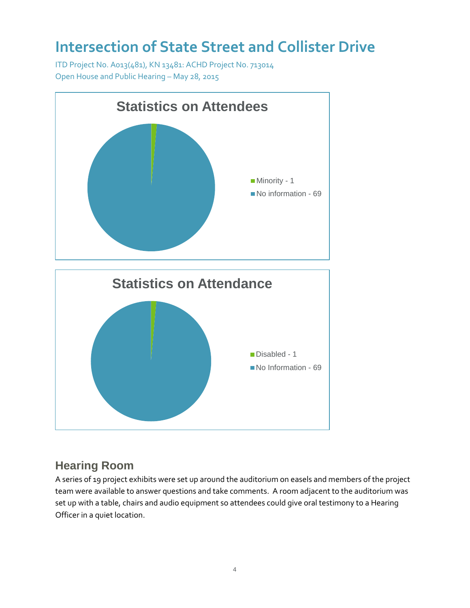ITD Project No. A013(481), KN 13481: ACHD Project No. 713014 Open House and Public Hearing – May 28, 2015



### **Hearing Room**

A series of 19 project exhibits were set up around the auditorium on easels and members of the project team were available to answer questions and take comments. A room adjacent to the auditorium was set up with a table, chairs and audio equipment so attendees could give oral testimony to a Hearing Officer in a quiet location.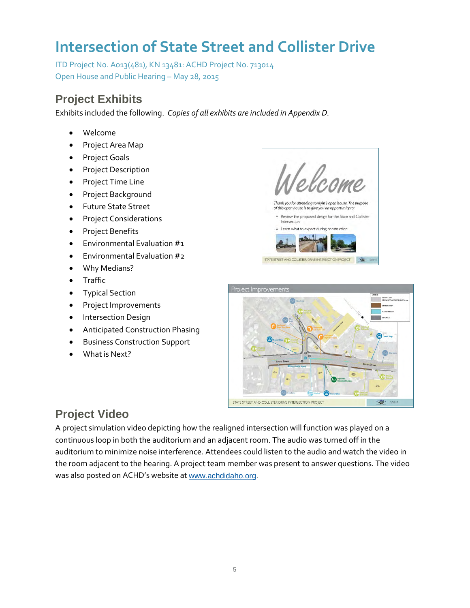ITD Project No. A013(481), KN 13481: ACHD Project No. 713014 Open House and Public Hearing – May 28, 2015

### **Project Exhibits**

Exhibits included the following. *Copies of all exhibits are included in Appendix D.* 

- Welcome
- Project Area Map
- Project Goals
- Project Description
- Project Time Line
- Project Background
- Future State Street
- Project Considerations
- Project Benefits
- Environmental Evaluation #1
- Environmental Evaluation #2
- Why Medians?
- Traffic
- Typical Section
- Project Improvements
- Intersection Design
- Anticipated Construction Phasing
- Business Construction Support
- What is Next?





### **Project Video**

A project simulation video depicting how the realigned intersection will function was played on a continuous loop in both the auditorium and an adjacent room. The audio was turned off in the auditorium to minimize noise interference. Attendees could listen to the audio and watch the video in the room adjacent to the hearing. A project team member was present to answer questions. The video was also posted on ACHD's website at [www.achdidaho.org.](http://www.achdidaho.org/)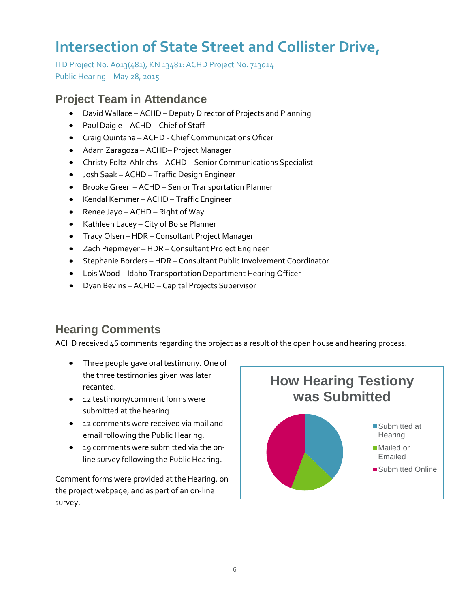ITD Project No. A013(481), KN 13481: ACHD Project No. 713014 Public Hearing – May 28, 2015

#### **Project Team in Attendance**

- David Wallace ACHD Deputy Director of Projects and Planning
- Paul Daigle ACHD Chief of Staff
- Craig Quintana ACHD Chief Communications Oficer
- Adam Zaragoza ACHD– Project Manager
- Christy Foltz-Ahlrichs ACHD Senior Communications Specialist
- Josh Saak ACHD Traffic Design Engineer
- Brooke Green ACHD Senior Transportation Planner
- Kendal Kemmer ACHD Traffic Engineer
- Renee Jayo ACHD Right of Way
- Kathleen Lacey City of Boise Planner
- Tracy Olsen HDR Consultant Project Manager
- Zach Piepmeyer HDR Consultant Project Engineer
- Stephanie Borders HDR Consultant Public Involvement Coordinator
- Lois Wood Idaho Transportation Department Hearing Officer
- Dyan Bevins ACHD Capital Projects Supervisor

### **Hearing Comments**

ACHD received 46 comments regarding the project as a result of the open house and hearing process.

- Three people gave oral testimony. One of the three testimonies given was later recanted.
- 12 testimony/comment forms were submitted at the hearing
- 12 comments were received via mail and email following the Public Hearing.
- 19 comments were submitted via the online survey following the Public Hearing.

Comment forms were provided at the Hearing, on the project webpage, and as part of an on-line survey.

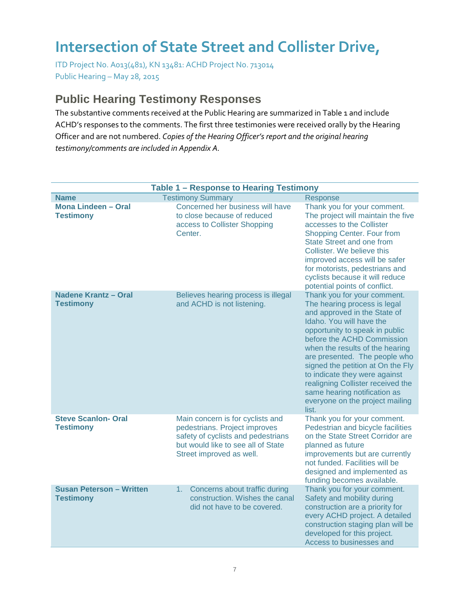ITD Project No. A013(481), KN 13481: ACHD Project No. 713014 Public Hearing – May 28, 2015

#### **Public Hearing Testimony Responses**

The substantive comments received at the Public Hearing are summarized in Table 1 and include ACHD's responses to the comments. The first three testimonies were received orally by the Hearing Officer and are not numbered. *Copies of the Hearing Officer's report and the original hearing testimony/comments are included in Appendix A.* 

|                                                     | Table 1 - Response to Hearing Testimony                                                                                                                                   |                                                                                                                                                                                                                                                                                                                                                                                                                                                    |
|-----------------------------------------------------|---------------------------------------------------------------------------------------------------------------------------------------------------------------------------|----------------------------------------------------------------------------------------------------------------------------------------------------------------------------------------------------------------------------------------------------------------------------------------------------------------------------------------------------------------------------------------------------------------------------------------------------|
| <b>Name</b>                                         | <b>Testimony Summary</b>                                                                                                                                                  | Response                                                                                                                                                                                                                                                                                                                                                                                                                                           |
| <b>Mona Lindeen - Oral</b><br><b>Testimony</b>      | Concerned her business will have<br>to close because of reduced<br>access to Collister Shopping<br>Center.                                                                | Thank you for your comment.<br>The project will maintain the five<br>accesses to the Collister<br>Shopping Center. Four from<br>State Street and one from<br>Collister. We believe this<br>improved access will be safer<br>for motorists, pedestrians and<br>cyclists because it will reduce<br>potential points of conflict.                                                                                                                     |
| <b>Nadene Krantz - Oral</b><br><b>Testimony</b>     | Believes hearing process is illegal<br>and ACHD is not listening.                                                                                                         | Thank you for your comment.<br>The hearing process is legal<br>and approved in the State of<br>Idaho. You will have the<br>opportunity to speak in public<br>before the ACHD Commission<br>when the results of the hearing<br>are presented. The people who<br>signed the petition at On the Fly<br>to indicate they were against<br>realigning Collister received the<br>same hearing notification as<br>everyone on the project mailing<br>list. |
| <b>Steve Scanlon- Oral</b><br><b>Testimony</b>      | Main concern is for cyclists and<br>pedestrians. Project improves<br>safety of cyclists and pedestrians<br>but would like to see all of State<br>Street improved as well. | Thank you for your comment.<br>Pedestrian and bicycle facilities<br>on the State Street Corridor are<br>planned as future<br>improvements but are currently<br>not funded. Facilities will be<br>designed and implemented as<br>funding becomes available.                                                                                                                                                                                         |
| <b>Susan Peterson - Written</b><br><b>Testimony</b> | Concerns about traffic during<br>1.<br>construction. Wishes the canal<br>did not have to be covered.                                                                      | Thank you for your comment.<br>Safety and mobility during<br>construction are a priority for<br>every ACHD project. A detailed<br>construction staging plan will be<br>developed for this project.<br>Access to businesses and                                                                                                                                                                                                                     |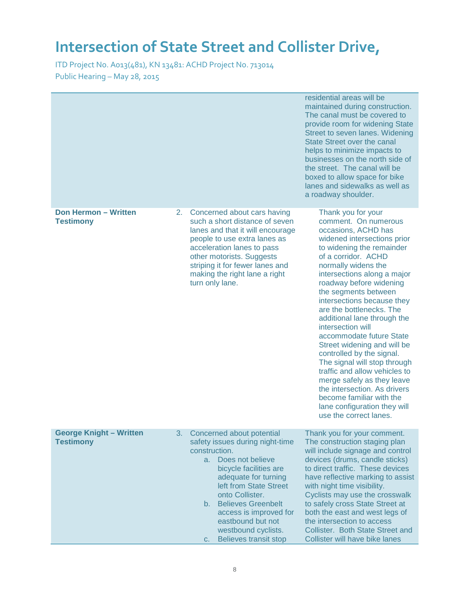|                                                    |    |                                                                                                                                                                                                                                                                                                                                   | residential areas will be<br>maintained during construction.<br>The canal must be covered to<br>provide room for widening State<br>Street to seven lanes. Widening<br><b>State Street over the canal</b><br>helps to minimize impacts to<br>businesses on the north side of<br>the street. The canal will be<br>boxed to allow space for bike<br>lanes and sidewalks as well as<br>a roadway shoulder.                                                                                                                                                                                                                                                                                   |
|----------------------------------------------------|----|-----------------------------------------------------------------------------------------------------------------------------------------------------------------------------------------------------------------------------------------------------------------------------------------------------------------------------------|------------------------------------------------------------------------------------------------------------------------------------------------------------------------------------------------------------------------------------------------------------------------------------------------------------------------------------------------------------------------------------------------------------------------------------------------------------------------------------------------------------------------------------------------------------------------------------------------------------------------------------------------------------------------------------------|
| <b>Don Hermon - Written</b><br><b>Testimony</b>    | 2. | Concerned about cars having<br>such a short distance of seven<br>lanes and that it will encourage<br>people to use extra lanes as<br>acceleration lanes to pass<br>other motorists. Suggests<br>striping it for fewer lanes and<br>making the right lane a right<br>turn only lane.                                               | Thank you for your<br>comment. On numerous<br>occasions, ACHD has<br>widened intersections prior<br>to widening the remainder<br>of a corridor. ACHD<br>normally widens the<br>intersections along a major<br>roadway before widening<br>the segments between<br>intersections because they<br>are the bottlenecks. The<br>additional lane through the<br>intersection will<br>accommodate future State<br>Street widening and will be<br>controlled by the signal.<br>The signal will stop through<br>traffic and allow vehicles to<br>merge safely as they leave<br>the intersection. As drivers<br>become familiar with the<br>lane configuration they will<br>use the correct lanes. |
| <b>George Knight - Written</b><br><b>Testimony</b> | 3. | Concerned about potential<br>safety issues during night-time<br>construction.<br>a. Does not believe<br>bicycle facilities are<br>adequate for turning<br>left from State Street<br>onto Collister.<br>b. Believes Greenbelt<br>access is improved for<br>eastbound but not<br>westbound cyclists.<br>Believes transit stop<br>C. | Thank you for your comment.<br>The construction staging plan<br>will include signage and control<br>devices (drums, candle sticks)<br>to direct traffic. These devices<br>have reflective marking to assist<br>with night time visibility.<br>Cyclists may use the crosswalk<br>to safely cross State Street at<br>both the east and west legs of<br>the intersection to access<br>Collister. Both State Street and<br>Collister will have bike lanes                                                                                                                                                                                                                                    |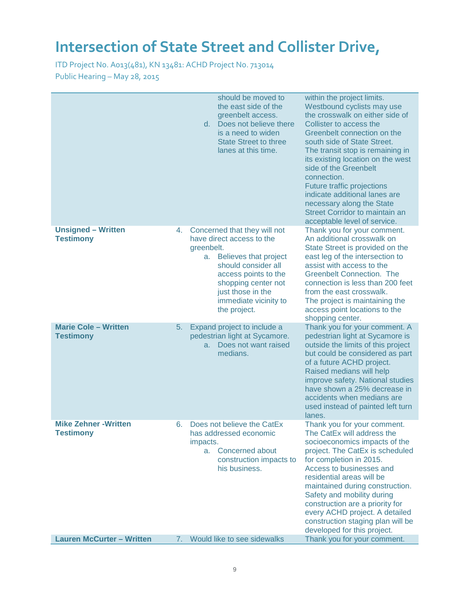|                                                  |    | should be moved to<br>the east side of the<br>greenbelt access.<br>d. Does not believe there<br>is a need to widen<br><b>State Street to three</b><br>lanes at this time.                                                                  | within the project limits.<br>Westbound cyclists may use<br>the crosswalk on either side of<br>Collister to access the<br>Greenbelt connection on the<br>south side of State Street.<br>The transit stop is remaining in<br>its existing location on the west<br>side of the Greenbelt<br>connection.<br>Future traffic projections<br>indicate additional lanes are<br>necessary along the State<br><b>Street Corridor to maintain an</b><br>acceptable level of service. |
|--------------------------------------------------|----|--------------------------------------------------------------------------------------------------------------------------------------------------------------------------------------------------------------------------------------------|----------------------------------------------------------------------------------------------------------------------------------------------------------------------------------------------------------------------------------------------------------------------------------------------------------------------------------------------------------------------------------------------------------------------------------------------------------------------------|
| <b>Unsigned - Written</b><br><b>Testimony</b>    | 4. | Concerned that they will not<br>have direct access to the<br>greenbelt.<br>Believes that project<br>а.<br>should consider all<br>access points to the<br>shopping center not<br>just those in the<br>immediate vicinity to<br>the project. | Thank you for your comment.<br>An additional crosswalk on<br>State Street is provided on the<br>east leg of the intersection to<br>assist with access to the<br><b>Greenbelt Connection. The</b><br>connection is less than 200 feet<br>from the east crosswalk.<br>The project is maintaining the<br>access point locations to the<br>shopping center.                                                                                                                    |
| <b>Marie Cole - Written</b><br><b>Testimony</b>  | 5. | Expand project to include a<br>pedestrian light at Sycamore.<br>a. Does not want raised<br>medians.                                                                                                                                        | Thank you for your comment. A<br>pedestrian light at Sycamore is<br>outside the limits of this project<br>but could be considered as part<br>of a future ACHD project.<br>Raised medians will help<br>improve safety. National studies<br>have shown a 25% decrease in<br>accidents when medians are<br>used instead of painted left turn<br>lanes.                                                                                                                        |
| <b>Mike Zehner - Written</b><br><b>Testimony</b> | 6. | Does not believe the CatEx<br>has addressed economic<br>impacts.<br>Concerned about<br>a.<br>construction impacts to<br>his business.                                                                                                      | Thank you for your comment.<br>The CatEx will address the<br>socioeconomics impacts of the<br>project. The CatEx is scheduled<br>for completion in 2015.<br>Access to businesses and<br>residential areas will be<br>maintained during construction.<br>Safety and mobility during<br>construction are a priority for<br>every ACHD project. A detailed<br>construction staging plan will be<br>developed for this project.                                                |
| <b>Lauren McCurter - Written</b>                 | 7. | Would like to see sidewalks                                                                                                                                                                                                                | Thank you for your comment.                                                                                                                                                                                                                                                                                                                                                                                                                                                |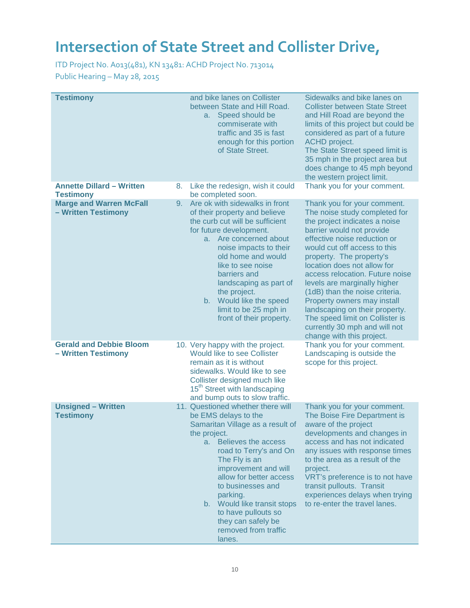| <b>Testimony</b>                                      |    | and bike lanes on Collister<br>between State and Hill Road.<br>Speed should be<br>а. –<br>commiserate with<br>traffic and 35 is fast<br>enough for this portion<br>of State Street.                                                                                                                                                                                                  | Sidewalks and bike lanes on<br><b>Collister between State Street</b><br>and Hill Road are beyond the<br>limits of this project but could be<br>considered as part of a future<br><b>ACHD</b> project.<br>The State Street speed limit is<br>35 mph in the project area but<br>does change to 45 mph beyond<br>the western project limit.                                                                                                                                                                                     |
|-------------------------------------------------------|----|--------------------------------------------------------------------------------------------------------------------------------------------------------------------------------------------------------------------------------------------------------------------------------------------------------------------------------------------------------------------------------------|------------------------------------------------------------------------------------------------------------------------------------------------------------------------------------------------------------------------------------------------------------------------------------------------------------------------------------------------------------------------------------------------------------------------------------------------------------------------------------------------------------------------------|
| <b>Annette Dillard - Written</b><br><b>Testimony</b>  | 8. | Like the redesign, wish it could<br>be completed soon.                                                                                                                                                                                                                                                                                                                               | Thank you for your comment.                                                                                                                                                                                                                                                                                                                                                                                                                                                                                                  |
| <b>Marge and Warren McFall</b><br>- Written Testimony | 9. | Are ok with sidewalks in front<br>of their property and believe<br>the curb cut will be sufficient<br>for future development.<br>Are concerned about<br>a.<br>noise impacts to their<br>old home and would<br>like to see noise<br>barriers and<br>landscaping as part of<br>the project.<br>b. Would like the speed<br>limit to be 25 mph in<br>front of their property.            | Thank you for your comment.<br>The noise study completed for<br>the project indicates a noise<br>barrier would not provide<br>effective noise reduction or<br>would cut off access to this<br>property. The property's<br>location does not allow for<br>access relocation. Future noise<br>levels are marginally higher<br>(1dB) than the noise criteria.<br>Property owners may install<br>landscaping on their property.<br>The speed limit on Collister is<br>currently 30 mph and will not<br>change with this project. |
| <b>Gerald and Debbie Bloom</b><br>- Written Testimony |    | 10. Very happy with the project.<br>Would like to see Collister<br>remain as it is without<br>sidewalks. Would like to see<br>Collister designed much like<br>15 <sup>th</sup> Street with landscaping<br>and bump outs to slow traffic.                                                                                                                                             | Thank you for your comment.<br>Landscaping is outside the<br>scope for this project.                                                                                                                                                                                                                                                                                                                                                                                                                                         |
| <b>Unsigned - Written</b><br><b>Testimony</b>         |    | 11. Questioned whether there will<br>be EMS delays to the<br>Samaritan Village as a result of<br>the project.<br>a. Believes the access<br>road to Terry's and On<br>The Fly is an<br>improvement and will<br>allow for better access<br>to businesses and<br>parking.<br>b. Would like transit stops<br>to have pullouts so<br>they can safely be<br>removed from traffic<br>lanes. | Thank you for your comment.<br>The Boise Fire Department is<br>aware of the project<br>developments and changes in<br>access and has not indicated<br>any issues with response times<br>to the area as a result of the<br>project.<br>VRT's preference is to not have<br>transit pullouts. Transit<br>experiences delays when trying<br>to re-enter the travel lanes.                                                                                                                                                        |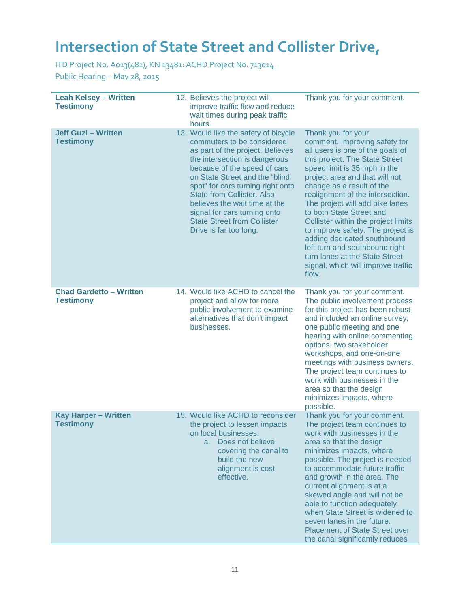ITD Project No. A013(481), KN 13481: ACHD Project No. 713014

Public Hearing – May 28, 2015

| <b>Leah Kelsey - Written</b><br><b>Testimony</b><br><b>Jeff Guzi - Written</b><br><b>Testimony</b> | 12. Believes the project will<br>improve traffic flow and reduce<br>wait times during peak traffic<br>hours.<br>13. Would like the safety of bicycle<br>commuters to be considered                                                                                                                                                             | Thank you for your comment.<br>Thank you for your<br>comment. Improving safety for                                                                                                                                                                                                                                                                                                                                                                                                                 |
|----------------------------------------------------------------------------------------------------|------------------------------------------------------------------------------------------------------------------------------------------------------------------------------------------------------------------------------------------------------------------------------------------------------------------------------------------------|----------------------------------------------------------------------------------------------------------------------------------------------------------------------------------------------------------------------------------------------------------------------------------------------------------------------------------------------------------------------------------------------------------------------------------------------------------------------------------------------------|
|                                                                                                    | as part of the project. Believes<br>the intersection is dangerous<br>because of the speed of cars<br>on State Street and the "blind<br>spot" for cars turning right onto<br><b>State from Collister. Also</b><br>believes the wait time at the<br>signal for cars turning onto<br><b>State Street from Collister</b><br>Drive is far too long. | all users is one of the goals of<br>this project. The State Street<br>speed limit is 35 mph in the<br>project area and that will not<br>change as a result of the<br>realignment of the intersection.<br>The project will add bike lanes<br>to both State Street and<br>Collister within the project limits<br>to improve safety. The project is<br>adding dedicated southbound<br>left turn and southbound right<br>turn lanes at the State Street<br>signal, which will improve traffic<br>flow. |
| <b>Chad Gardetto - Written</b><br><b>Testimony</b>                                                 | 14. Would like ACHD to cancel the<br>project and allow for more<br>public involvement to examine<br>alternatives that don't impact<br>businesses.                                                                                                                                                                                              | Thank you for your comment.<br>The public involvement process<br>for this project has been robust<br>and included an online survey,<br>one public meeting and one<br>hearing with online commenting<br>options, two stakeholder<br>workshops, and one-on-one<br>meetings with business owners.<br>The project team continues to<br>work with businesses in the<br>area so that the design<br>minimizes impacts, where<br>possible.                                                                 |
| <b>Kay Harper - Written</b><br><b>Testimony</b>                                                    | 15. Would like ACHD to reconsider<br>the project to lessen impacts<br>on local businesses.<br>Does not believe<br>а.<br>covering the canal to<br>build the new<br>alignment is cost<br>effective.                                                                                                                                              | Thank you for your comment.<br>The project team continues to<br>work with businesses in the<br>area so that the design<br>minimizes impacts, where<br>possible. The project is needed<br>to accommodate future traffic<br>and growth in the area. The<br>current alignment is at a<br>skewed angle and will not be<br>able to function adequately<br>when State Street is widened to<br>seven lanes in the future.<br><b>Placement of State Street over</b><br>the canal significantly reduces     |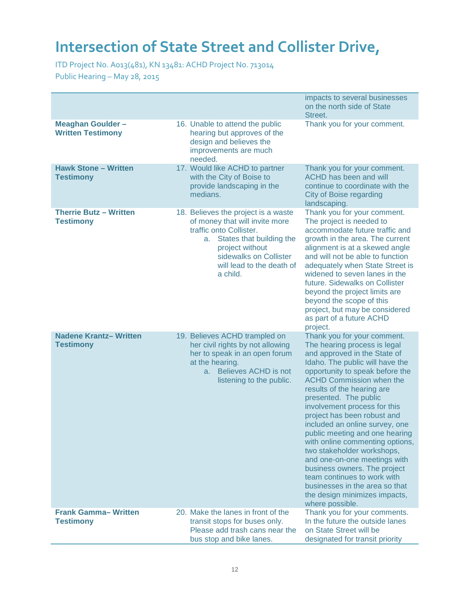ITD Project No. A013(481), KN 13481: ACHD Project No. 713014

Public Hearing – May 28, 2015

|                                                      |                                                                                                                                                                                                                          | impacts to several businesses<br>on the north side of State<br>Street.                                                                                                                                                                                                                                                                                                                                                                                                                                                                                                                                                                               |
|------------------------------------------------------|--------------------------------------------------------------------------------------------------------------------------------------------------------------------------------------------------------------------------|------------------------------------------------------------------------------------------------------------------------------------------------------------------------------------------------------------------------------------------------------------------------------------------------------------------------------------------------------------------------------------------------------------------------------------------------------------------------------------------------------------------------------------------------------------------------------------------------------------------------------------------------------|
| <b>Meaghan Goulder -</b><br><b>Written Testimony</b> | 16. Unable to attend the public<br>hearing but approves of the<br>design and believes the<br>improvements are much<br>needed.                                                                                            | Thank you for your comment.                                                                                                                                                                                                                                                                                                                                                                                                                                                                                                                                                                                                                          |
| <b>Hawk Stone - Written</b><br><b>Testimony</b>      | 17. Would like ACHD to partner<br>with the City of Boise to<br>provide landscaping in the<br>medians.                                                                                                                    | Thank you for your comment.<br><b>ACHD has been and will</b><br>continue to coordinate with the<br>City of Boise regarding<br>landscaping.                                                                                                                                                                                                                                                                                                                                                                                                                                                                                                           |
| <b>Therrie Butz - Written</b><br><b>Testimony</b>    | 18. Believes the project is a waste<br>of money that will invite more<br>traffic onto Collister.<br>States that building the<br>a.<br>project without<br>sidewalks on Collister<br>will lead to the death of<br>a child. | Thank you for your comment.<br>The project is needed to<br>accommodate future traffic and<br>growth in the area. The current<br>alignment is at a skewed angle<br>and will not be able to function<br>adequately when State Street is<br>widened to seven lanes in the<br>future. Sidewalks on Collister<br>beyond the project limits are<br>beyond the scope of this<br>project, but may be considered<br>as part of a future ACHD<br>project.                                                                                                                                                                                                      |
| <b>Nadene Krantz-Written</b><br><b>Testimony</b>     | 19. Believes ACHD trampled on<br>her civil rights by not allowing<br>her to speak in an open forum<br>at the hearing.<br>a. Believes ACHD is not<br>listening to the public.                                             | Thank you for your comment.<br>The hearing process is legal<br>and approved in the State of<br>Idaho. The public will have the<br>opportunity to speak before the<br><b>ACHD Commission when the</b><br>results of the hearing are<br>presented. The public<br>involvement process for this<br>project has been robust and<br>included an online survey, one<br>public meeting and one hearing<br>with online commenting options,<br>two stakeholder workshops,<br>and one-on-one meetings with<br>business owners. The project<br>team continues to work with<br>businesses in the area so that<br>the design minimizes impacts,<br>where possible. |
| <b>Frank Gamma-Written</b><br><b>Testimony</b>       | 20. Make the lanes in front of the<br>transit stops for buses only.<br>Please add trash cans near the<br>bus stop and bike lanes.                                                                                        | Thank you for your comments.<br>In the future the outside lanes<br>on State Street will be<br>designated for transit priority                                                                                                                                                                                                                                                                                                                                                                                                                                                                                                                        |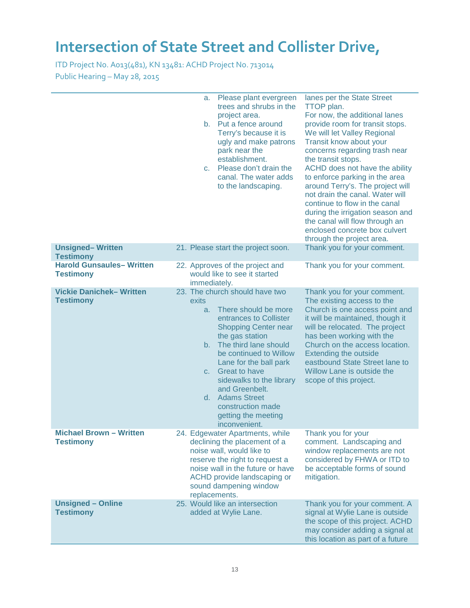|                                                     | a.<br>C.                     | Please plant evergreen<br>trees and shrubs in the<br>project area.<br>b. Put a fence around<br>Terry's because it is<br>ugly and make patrons<br>park near the<br>establishment.<br>Please don't drain the<br>canal. The water adds<br>to the landscaping.                                                                                                            | lanes per the State Street<br>TTOP plan.<br>For now, the additional lanes<br>provide room for transit stops.<br>We will let Valley Regional<br>Transit know about your<br>concerns regarding trash near<br>the transit stops.<br>ACHD does not have the ability<br>to enforce parking in the area<br>around Terry's. The project will<br>not drain the canal. Water will<br>continue to flow in the canal<br>during the irrigation season and<br>the canal will flow through an<br>enclosed concrete box culvert<br>through the project area. |
|-----------------------------------------------------|------------------------------|-----------------------------------------------------------------------------------------------------------------------------------------------------------------------------------------------------------------------------------------------------------------------------------------------------------------------------------------------------------------------|-----------------------------------------------------------------------------------------------------------------------------------------------------------------------------------------------------------------------------------------------------------------------------------------------------------------------------------------------------------------------------------------------------------------------------------------------------------------------------------------------------------------------------------------------|
| <b>Unsigned-Written</b><br><b>Testimony</b>         |                              | 21. Please start the project soon.                                                                                                                                                                                                                                                                                                                                    | Thank you for your comment.                                                                                                                                                                                                                                                                                                                                                                                                                                                                                                                   |
| <b>Harold Gunsaules-Written</b><br><b>Testimony</b> | immediately.                 | 22. Approves of the project and<br>would like to see it started                                                                                                                                                                                                                                                                                                       | Thank you for your comment.                                                                                                                                                                                                                                                                                                                                                                                                                                                                                                                   |
| <b>Vickie Danichek-Written</b><br><b>Testimony</b>  | exits<br>a.<br>$b_{-}$<br>C. | 23. The church should have two<br>There should be more<br>entrances to Collister<br><b>Shopping Center near</b><br>the gas station<br>The third lane should<br>be continued to Willow<br>Lane for the ball park<br><b>Great to have</b><br>sidewalks to the library<br>and Greenbelt.<br>d. Adams Street<br>construction made<br>getting the meeting<br>inconvenient. | Thank you for your comment.<br>The existing access to the<br>Church is one access point and<br>it will be maintained, though it<br>will be relocated. The project<br>has been working with the<br>Church on the access location.<br><b>Extending the outside</b><br>eastbound State Street lane to<br>Willow Lane is outside the<br>scope of this project.                                                                                                                                                                                    |
| <b>Michael Brown - Written</b><br><b>Testimony</b>  |                              | 24. Edgewater Apartments, while<br>declining the placement of a<br>noise wall, would like to<br>reserve the right to request a<br>noise wall in the future or have<br>ACHD provide landscaping or<br>sound dampening window<br>replacements.                                                                                                                          | Thank you for your<br>comment. Landscaping and<br>window replacements are not<br>considered by FHWA or ITD to<br>be acceptable forms of sound<br>mitigation.                                                                                                                                                                                                                                                                                                                                                                                  |
| <b>Unsigned - Online</b><br><b>Testimony</b>        |                              | 25. Would like an intersection<br>added at Wylie Lane.                                                                                                                                                                                                                                                                                                                | Thank you for your comment. A<br>signal at Wylie Lane is outside<br>the scope of this project. ACHD<br>may consider adding a signal at<br>this location as part of a future                                                                                                                                                                                                                                                                                                                                                                   |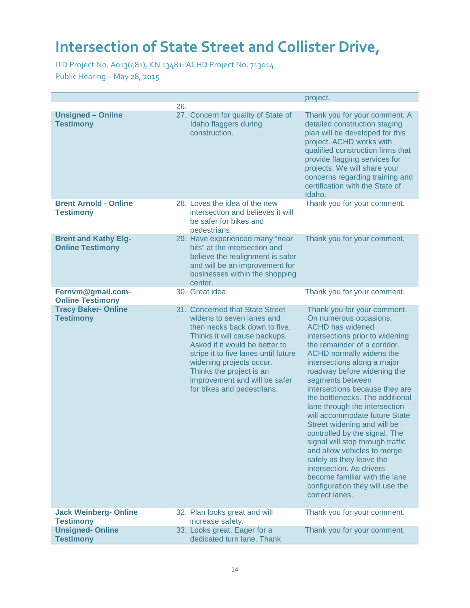|                                                        |     |                                                                                                                                                                                                                                                                                                                                 | project.                                                                                                                                                                                                                                                                                                                                                                                                                                                                                                                                                                                                                                                                                  |
|--------------------------------------------------------|-----|---------------------------------------------------------------------------------------------------------------------------------------------------------------------------------------------------------------------------------------------------------------------------------------------------------------------------------|-------------------------------------------------------------------------------------------------------------------------------------------------------------------------------------------------------------------------------------------------------------------------------------------------------------------------------------------------------------------------------------------------------------------------------------------------------------------------------------------------------------------------------------------------------------------------------------------------------------------------------------------------------------------------------------------|
|                                                        | 26. |                                                                                                                                                                                                                                                                                                                                 |                                                                                                                                                                                                                                                                                                                                                                                                                                                                                                                                                                                                                                                                                           |
| <b>Unsigned - Online</b><br><b>Testimony</b>           |     | 27. Concern for quality of State of<br>Idaho flaggers during<br>construction.                                                                                                                                                                                                                                                   | Thank you for your comment. A<br>detailed construction staging<br>plan will be developed for this<br>project. ACHD works with<br>qualified construction firms that<br>provide flagging services for<br>projects. We will share your<br>concerns regarding training and<br>certification with the State of<br>Idaho.                                                                                                                                                                                                                                                                                                                                                                       |
| <b>Brent Arnold - Online</b><br><b>Testimony</b>       |     | 28. Loves the idea of the new<br>intersection and believes it will<br>be safer for bikes and<br>pedestrians.                                                                                                                                                                                                                    | Thank you for your comment.                                                                                                                                                                                                                                                                                                                                                                                                                                                                                                                                                                                                                                                               |
| <b>Brent and Kathy Elg-</b><br><b>Online Testimony</b> |     | 29. Have experienced many "near<br>hits" at the intersection and<br>believe the realignment is safer<br>and will be an improvement for<br>businesses within the shopping<br>center.                                                                                                                                             | Thank you for your comment.                                                                                                                                                                                                                                                                                                                                                                                                                                                                                                                                                                                                                                                               |
| Fernvm@gmail.com-<br><b>Online Testimony</b>           |     | 30. Great idea.                                                                                                                                                                                                                                                                                                                 | Thank you for your comment.                                                                                                                                                                                                                                                                                                                                                                                                                                                                                                                                                                                                                                                               |
| <b>Tracy Baker-Online</b><br><b>Testimony</b>          |     | 31. Concerned that State Street<br>widens to seven lanes and<br>then necks back down to five.<br>Thinks it will cause backups.<br>Asked if it would be better to<br>stripe it to five lanes until future<br>widening projects occur.<br>Thinks the project is an<br>improvement and will be safer<br>for bikes and pedestrians. | Thank you for your comment.<br>On numerous occasions,<br><b>ACHD has widened</b><br>intersections prior to widening<br>the remainder of a corridor.<br>ACHD normally widens the<br>intersections along a major<br>roadway before widening the<br>segments between<br>intersections because they are<br>the bottlenecks. The additional<br>lane through the intersection<br>will accommodate future State<br>Street widening and will be<br>controlled by the signal. The<br>signal will stop through traffic<br>and allow vehicles to merge<br>safely as they leave the<br>intersection. As drivers<br>become familiar with the lane<br>configuration they will use the<br>correct lanes. |
| <b>Jack Weinberg- Online</b><br><b>Testimony</b>       |     | 32. Plan looks great and will<br>increase safety.                                                                                                                                                                                                                                                                               | Thank you for your comment.                                                                                                                                                                                                                                                                                                                                                                                                                                                                                                                                                                                                                                                               |
| <b>Unsigned-Online</b>                                 |     | 33. Looks great. Eager for a                                                                                                                                                                                                                                                                                                    | Thank you for your comment.                                                                                                                                                                                                                                                                                                                                                                                                                                                                                                                                                                                                                                                               |
| <b>Testimony</b>                                       |     | dedicated turn lane. Thank                                                                                                                                                                                                                                                                                                      |                                                                                                                                                                                                                                                                                                                                                                                                                                                                                                                                                                                                                                                                                           |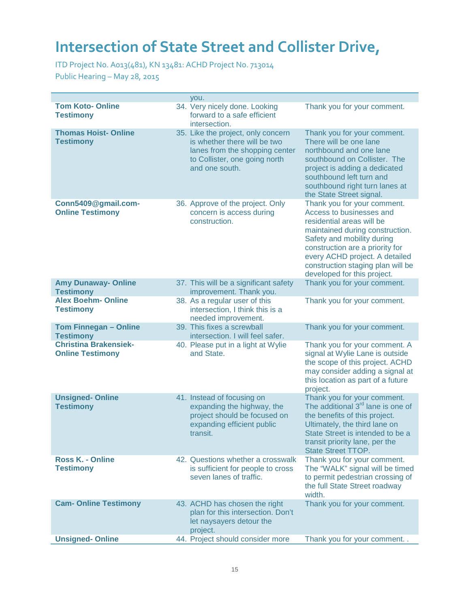ITD Project No. A013(481), KN 13481: ACHD Project No. 713014

Public Hearing – May 28, 2015

|                                                         | you.                                                                                                                                                    |                                                                                                                                                                                                                                                                                                |
|---------------------------------------------------------|---------------------------------------------------------------------------------------------------------------------------------------------------------|------------------------------------------------------------------------------------------------------------------------------------------------------------------------------------------------------------------------------------------------------------------------------------------------|
| <b>Tom Koto-Online</b><br><b>Testimony</b>              | 34. Very nicely done. Looking<br>forward to a safe efficient<br>intersection.                                                                           | Thank you for your comment.                                                                                                                                                                                                                                                                    |
| <b>Thomas Hoist-Online</b><br><b>Testimony</b>          | 35. Like the project, only concern<br>is whether there will be two<br>lanes from the shopping center<br>to Collister, one going north<br>and one south. | Thank you for your comment.<br>There will be one lane<br>northbound and one lane<br>southbound on Collister. The<br>project is adding a dedicated<br>southbound left turn and<br>southbound right turn lanes at<br>the State Street signal.                                                    |
| Conn5409@gmail.com-<br><b>Online Testimony</b>          | 36. Approve of the project. Only<br>concern is access during<br>construction.                                                                           | Thank you for your comment.<br>Access to businesses and<br>residential areas will be<br>maintained during construction.<br>Safety and mobility during<br>construction are a priority for<br>every ACHD project. A detailed<br>construction staging plan will be<br>developed for this project. |
| <b>Amy Dunaway- Online</b><br><b>Testimony</b>          | 37. This will be a significant safety<br>improvement. Thank you.                                                                                        | Thank you for your comment.                                                                                                                                                                                                                                                                    |
| <b>Alex Boehm- Online</b><br><b>Testimony</b>           | 38. As a regular user of this<br>intersection, I think this is a<br>needed improvement.                                                                 | Thank you for your comment.                                                                                                                                                                                                                                                                    |
| <b>Tom Finnegan - Online</b><br><b>Testimony</b>        | 39. This fixes a screwball<br>intersection. I will feel safer.                                                                                          | Thank you for your comment.                                                                                                                                                                                                                                                                    |
| <b>Christina Brakensiek-</b><br><b>Online Testimony</b> | 40. Please put in a light at Wylie<br>and State.                                                                                                        | Thank you for your comment. A<br>signal at Wylie Lane is outside<br>the scope of this project. ACHD<br>may consider adding a signal at<br>this location as part of a future<br>project.                                                                                                        |
| <b>Unsigned-Online</b><br><b>Testimony</b>              | 41. Instead of focusing on<br>expanding the highway, the<br>project should be focused on<br>expanding efficient public<br>transit.                      | Thank you for your comment.<br>The additional 3 <sup>rd</sup> lane is one of<br>the benefits of this project.<br>Ultimately, the third lane on<br>State Street is intended to be a<br>transit priority lane, per the<br><b>State Street TTOP.</b>                                              |
| <b>Ross K. - Online</b><br><b>Testimony</b>             | 42. Questions whether a crosswalk<br>is sufficient for people to cross<br>seven lanes of traffic.                                                       | Thank you for your comment.<br>The "WALK" signal will be timed<br>to permit pedestrian crossing of<br>the full State Street roadway<br>width.                                                                                                                                                  |
| <b>Cam- Online Testimony</b>                            | 43. ACHD has chosen the right<br>plan for this intersection. Don't<br>let naysayers detour the<br>project.                                              | Thank you for your comment.                                                                                                                                                                                                                                                                    |
| <b>Unsigned-Online</b>                                  | 44. Project should consider more                                                                                                                        | Thank you for your comment                                                                                                                                                                                                                                                                     |